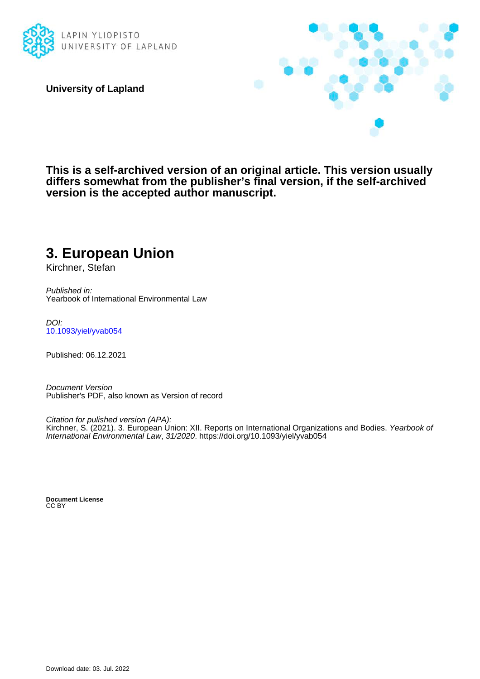

**University of Lapland**



**This is a self-archived version of an original article. This version usually differs somewhat from the publisher's final version, if the self-archived version is the accepted author manuscript.**

## **3. European Union**

Kirchner, Stefan

Published in: Yearbook of International Environmental Law

DOI: [10.1093/yiel/yvab054](https://doi.org/10.1093/yiel/yvab054)

Published: 06.12.2021

Document Version Publisher's PDF, also known as Version of record

Citation for pulished version (APA): Kirchner, S. (2021). 3. European Union: XII. Reports on International Organizations and Bodies. Yearbook of International Environmental Law, 31/2020.<https://doi.org/10.1093/yiel/yvab054>

**Document License** CC BY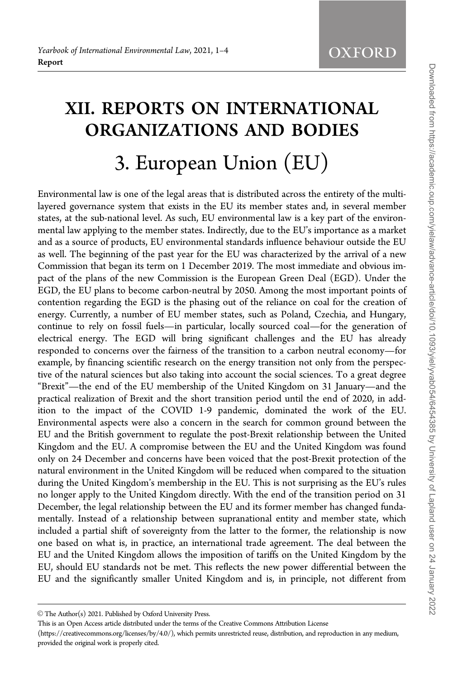## XII. REPORTS ON INTERNATIONAL ORGANIZATIONS AND BODIES 3. European Union (EU)

Environmental law is one of the legal areas that is distributed across the entirety of the multilayered governance system that exists in the EU its member states and, in several member states, at the sub-national level. As such, EU environmental law is a key part of the environmental law applying to the member states. Indirectly, due to the EU's importance as a market and as a source of products, EU environmental standards influence behaviour outside the EU as well. The beginning of the past year for the EU was characterized by the arrival of a new Commission that began its term on 1 December 2019. The most immediate and obvious impact of the plans of the new Commission is the European Green Deal (EGD). Under the EGD, the EU plans to become carbon-neutral by 2050. Among the most important points of contention regarding the EGD is the phasing out of the reliance on coal for the creation of energy. Currently, a number of EU member states, such as Poland, Czechia, and Hungary, continue to rely on fossil fuels—in particular, locally sourced coal—for the generation of electrical energy. The EGD will bring significant challenges and the EU has already responded to concerns over the fairness of the transition to a carbon neutral economy—for example, by financing scientific research on the energy transition not only from the perspective of the natural sciences but also taking into account the social sciences. To a great degree "Brexit"—the end of the EU membership of the United Kingdom on 31 January—and the practical realization of Brexit and the short transition period until the end of 2020, in addition to the impact of the COVID 1-9 pandemic, dominated the work of the EU. Environmental aspects were also a concern in the search for common ground between the EU and the British government to regulate the post-Brexit relationship between the United Kingdom and the EU. A compromise between the EU and the United Kingdom was found only on 24 December and concerns have been voiced that the post-Brexit protection of the natural environment in the United Kingdom will be reduced when compared to the situation during the United Kingdom's membership in the EU. This is not surprising as the EU's rules no longer apply to the United Kingdom directly. With the end of the transition period on 31 December, the legal relationship between the EU and its former member has changed fundamentally. Instead of a relationship between supranational entity and member state, which included a partial shift of sovereignty from the latter to the former, the relationship is now one based on what is, in practice, an international trade agreement. The deal between the EU and the United Kingdom allows the imposition of tariffs on the United Kingdom by the EU, should EU standards not be met. This reflects the new power differential between the EU and the significantly smaller United Kingdom and is, in principle, not different from

 $\odot$  The Author(s) 2021. Published by Oxford University Press.

This is an Open Access article distributed under the terms of the Creative Commons Attribution License

<sup>(</sup>https://creativecommons.org/licenses/by/4.0/), which permits unrestricted reuse, distribution, and reproduction in any medium, provided the original work is properly cited.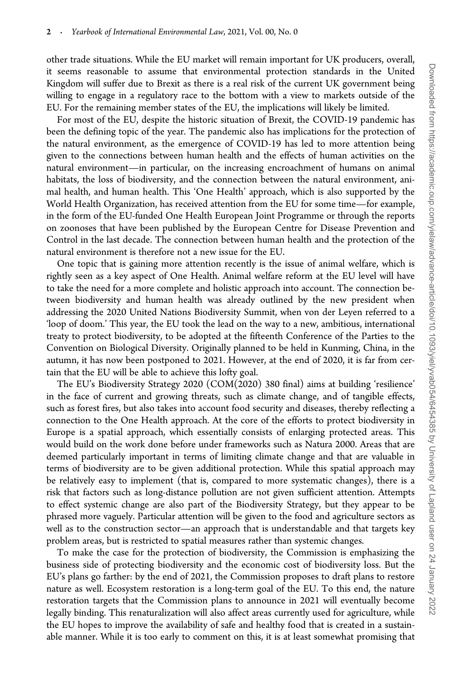other trade situations. While the EU market will remain important for UK producers, overall, it seems reasonable to assume that environmental protection standards in the United Kingdom will suffer due to Brexit as there is a real risk of the current UK government being willing to engage in a regulatory race to the bottom with a view to markets outside of the EU. For the remaining member states of the EU, the implications will likely be limited.

For most of the EU, despite the historic situation of Brexit, the COVID-19 pandemic has been the defining topic of the year. The pandemic also has implications for the protection of the natural environment, as the emergence of COVID-19 has led to more attention being given to the connections between human health and the effects of human activities on the natural environment—in particular, on the increasing encroachment of humans on animal habitats, the loss of biodiversity, and the connection between the natural environment, animal health, and human health. This 'One Health' approach, which is also supported by the World Health Organization, has received attention from the EU for some time—for example, in the form of the EU-funded One Health European Joint Programme or through the reports on zoonoses that have been published by the European Centre for Disease Prevention and Control in the last decade. The connection between human health and the protection of the natural environment is therefore not a new issue for the EU.

One topic that is gaining more attention recently is the issue of animal welfare, which is rightly seen as a key aspect of One Health. Animal welfare reform at the EU level will have to take the need for a more complete and holistic approach into account. The connection between biodiversity and human health was already outlined by the new president when addressing the 2020 United Nations Biodiversity Summit, when von der Leyen referred to a 'loop of doom.' This year, the EU took the lead on the way to a new, ambitious, international treaty to protect biodiversity, to be adopted at the fifteenth Conference of the Parties to the Convention on Biological Diversity. Originally planned to be held in Kunming, China, in the autumn, it has now been postponed to 2021. However, at the end of 2020, it is far from certain that the EU will be able to achieve this lofty goal.

The EU's Biodiversity Strategy 2020 (COM(2020) 380 final) aims at building 'resilience' in the face of current and growing threats, such as climate change, and of tangible effects, such as forest fires, but also takes into account food security and diseases, thereby reflecting a connection to the One Health approach. At the core of the efforts to protect biodiversity in Europe is a spatial approach, which essentially consists of enlarging protected areas. This would build on the work done before under frameworks such as Natura 2000. Areas that are deemed particularly important in terms of limiting climate change and that are valuable in terms of biodiversity are to be given additional protection. While this spatial approach may be relatively easy to implement (that is, compared to more systematic changes), there is a risk that factors such as long-distance pollution are not given sufficient attention. Attempts to effect systemic change are also part of the Biodiversity Strategy, but they appear to be phrased more vaguely. Particular attention will be given to the food and agriculture sectors as well as to the construction sector—an approach that is understandable and that targets key problem areas, but is restricted to spatial measures rather than systemic changes.

To make the case for the protection of biodiversity, the Commission is emphasizing the business side of protecting biodiversity and the economic cost of biodiversity loss. But the EU's plans go farther: by the end of 2021, the Commission proposes to draft plans to restore nature as well. Ecosystem restoration is a long-term goal of the EU. To this end, the nature restoration targets that the Commission plans to announce in 2021 will eventually become legally binding. This renaturalization will also affect areas currently used for agriculture, while the EU hopes to improve the availability of safe and healthy food that is created in a sustainable manner. While it is too early to comment on this, it is at least somewhat promising that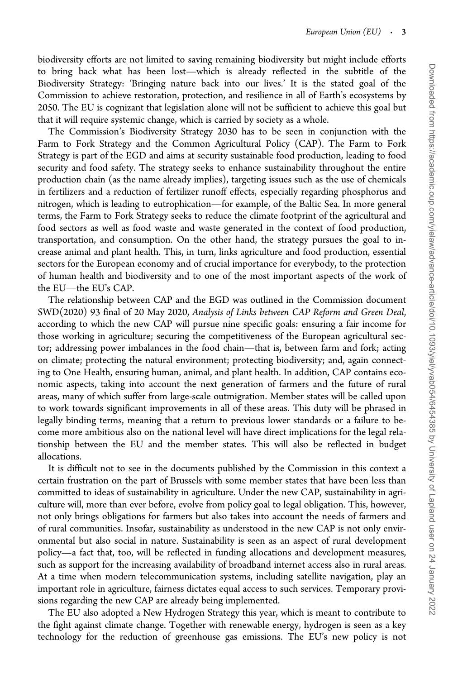biodiversity efforts are not limited to saving remaining biodiversity but might include efforts to bring back what has been lost—which is already reflected in the subtitle of the Biodiversity Strategy: 'Bringing nature back into our lives.' It is the stated goal of the Commission to achieve restoration, protection, and resilience in all of Earth's ecosystems by 2050. The EU is cognizant that legislation alone will not be sufficient to achieve this goal but that it will require systemic change, which is carried by society as a whole.

The Commission's Biodiversity Strategy 2030 has to be seen in conjunction with the Farm to Fork Strategy and the Common Agricultural Policy (CAP). The Farm to Fork Strategy is part of the EGD and aims at security sustainable food production, leading to food security and food safety. The strategy seeks to enhance sustainability throughout the entire production chain (as the name already implies), targeting issues such as the use of chemicals in fertilizers and a reduction of fertilizer runoff effects, especially regarding phosphorus and nitrogen, which is leading to eutrophication—for example, of the Baltic Sea. In more general terms, the Farm to Fork Strategy seeks to reduce the climate footprint of the agricultural and food sectors as well as food waste and waste generated in the context of food production, transportation, and consumption. On the other hand, the strategy pursues the goal to increase animal and plant health. This, in turn, links agriculture and food production, essential sectors for the European economy and of crucial importance for everybody, to the protection of human health and biodiversity and to one of the most important aspects of the work of the EU—the EU's CAP.

The relationship between CAP and the EGD was outlined in the Commission document SWD(2020) 93 final of 20 May 2020, Analysis of Links between CAP Reform and Green Deal, according to which the new CAP will pursue nine specific goals: ensuring a fair income for those working in agriculture; securing the competitiveness of the European agricultural sector; addressing power imbalances in the food chain—that is, between farm and fork; acting on climate; protecting the natural environment; protecting biodiversity; and, again connecting to One Health, ensuring human, animal, and plant health. In addition, CAP contains economic aspects, taking into account the next generation of farmers and the future of rural areas, many of which suffer from large-scale outmigration. Member states will be called upon to work towards significant improvements in all of these areas. This duty will be phrased in legally binding terms, meaning that a return to previous lower standards or a failure to become more ambitious also on the national level will have direct implications for the legal relationship between the EU and the member states. This will also be reflected in budget allocations.

It is difficult not to see in the documents published by the Commission in this context a certain frustration on the part of Brussels with some member states that have been less than committed to ideas of sustainability in agriculture. Under the new CAP, sustainability in agriculture will, more than ever before, evolve from policy goal to legal obligation. This, however, not only brings obligations for farmers but also takes into account the needs of farmers and of rural communities. Insofar, sustainability as understood in the new CAP is not only environmental but also social in nature. Sustainability is seen as an aspect of rural development policy—a fact that, too, will be reflected in funding allocations and development measures, such as support for the increasing availability of broadband internet access also in rural areas. At a time when modern telecommunication systems, including satellite navigation, play an important role in agriculture, fairness dictates equal access to such services. Temporary provisions regarding the new CAP are already being implemented.

The EU also adopted a New Hydrogen Strategy this year, which is meant to contribute to the fight against climate change. Together with renewable energy, hydrogen is seen as a key technology for the reduction of greenhouse gas emissions. The EU's new policy is not